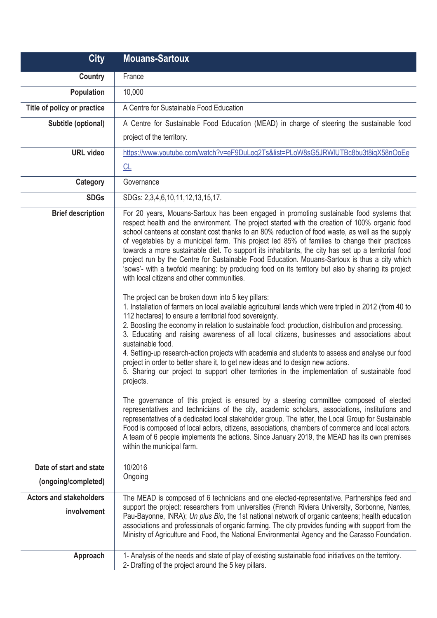| <b>City</b>                                   | <b>Mouans-Sartoux</b>                                                                                                                                                                                                                                                                                                                                                                                                                                                                                                                                                                                                                                                                                                                                       |
|-----------------------------------------------|-------------------------------------------------------------------------------------------------------------------------------------------------------------------------------------------------------------------------------------------------------------------------------------------------------------------------------------------------------------------------------------------------------------------------------------------------------------------------------------------------------------------------------------------------------------------------------------------------------------------------------------------------------------------------------------------------------------------------------------------------------------|
| <b>Country</b>                                | France                                                                                                                                                                                                                                                                                                                                                                                                                                                                                                                                                                                                                                                                                                                                                      |
| <b>Population</b>                             | 10,000                                                                                                                                                                                                                                                                                                                                                                                                                                                                                                                                                                                                                                                                                                                                                      |
| Title of policy or practice                   | A Centre for Sustainable Food Education                                                                                                                                                                                                                                                                                                                                                                                                                                                                                                                                                                                                                                                                                                                     |
| Subtitle (optional)                           | A Centre for Sustainable Food Education (MEAD) in charge of steering the sustainable food                                                                                                                                                                                                                                                                                                                                                                                                                                                                                                                                                                                                                                                                   |
|                                               | project of the territory.                                                                                                                                                                                                                                                                                                                                                                                                                                                                                                                                                                                                                                                                                                                                   |
| <b>URL</b> video                              | https://www.youtube.com/watch?v=eF9DuLog2Ts&list=PLoW8sG5JRWIUTBc8bu3t8igX58nOoEe                                                                                                                                                                                                                                                                                                                                                                                                                                                                                                                                                                                                                                                                           |
|                                               | CL                                                                                                                                                                                                                                                                                                                                                                                                                                                                                                                                                                                                                                                                                                                                                          |
| Category                                      | Governance                                                                                                                                                                                                                                                                                                                                                                                                                                                                                                                                                                                                                                                                                                                                                  |
| <b>SDGs</b>                                   | SDGs: 2,3,4,6,10,11,12,13,15,17.                                                                                                                                                                                                                                                                                                                                                                                                                                                                                                                                                                                                                                                                                                                            |
| <b>Brief description</b>                      | For 20 years, Mouans-Sartoux has been engaged in promoting sustainable food systems that<br>respect health and the environment. The project started with the creation of 100% organic food<br>school canteens at constant cost thanks to an 80% reduction of food waste, as well as the supply<br>of vegetables by a municipal farm. This project led 85% of families to change their practices<br>towards a more sustainable diet. To support its inhabitants, the city has set up a territorial food<br>project run by the Centre for Sustainable Food Education. Mouans-Sartoux is thus a city which<br>'sows'- with a twofold meaning: by producing food on its territory but also by sharing its project<br>with local citizens and other communities. |
|                                               | The project can be broken down into 5 key pillars:<br>1. Installation of farmers on local available agricultural lands which were tripled in 2012 (from 40 to<br>112 hectares) to ensure a territorial food sovereignty.<br>2. Boosting the economy in relation to sustainable food: production, distribution and processing.<br>3. Educating and raising awareness of all local citizens, businesses and associations about<br>sustainable food.<br>4. Setting-up research-action projects with academia and students to assess and analyse our food<br>project in order to better share it, to get new ideas and to design new actions.<br>5. Sharing our project to support other territories in the implementation of sustainable food<br>projects.     |
|                                               | The governance of this project is ensured by a steering committee composed of elected<br>representatives and technicians of the city, academic scholars, associations, institutions and<br>representatives of a dedicated local stakeholder group. The latter, the Local Group for Sustainable<br>Food is composed of local actors, citizens, associations, chambers of commerce and local actors.<br>A team of 6 people implements the actions. Since January 2019, the MEAD has its own premises<br>within the municipal farm.                                                                                                                                                                                                                            |
| Date of start and state                       | 10/2016                                                                                                                                                                                                                                                                                                                                                                                                                                                                                                                                                                                                                                                                                                                                                     |
| (ongoing/completed)                           | Ongoing                                                                                                                                                                                                                                                                                                                                                                                                                                                                                                                                                                                                                                                                                                                                                     |
| <b>Actors and stakeholders</b><br>involvement | The MEAD is composed of 6 technicians and one elected-representative. Partnerships feed and<br>support the project: researchers from universities (French Riviera University, Sorbonne, Nantes,<br>Pau-Bayonne, INRA); Un plus Bio, the 1st national network of organic canteens; health education<br>associations and professionals of organic farming. The city provides funding with support from the<br>Ministry of Agriculture and Food, the National Environmental Agency and the Carasso Foundation.                                                                                                                                                                                                                                                 |
| Approach                                      | 1- Analysis of the needs and state of play of existing sustainable food initiatives on the territory.<br>2- Drafting of the project around the 5 key pillars.                                                                                                                                                                                                                                                                                                                                                                                                                                                                                                                                                                                               |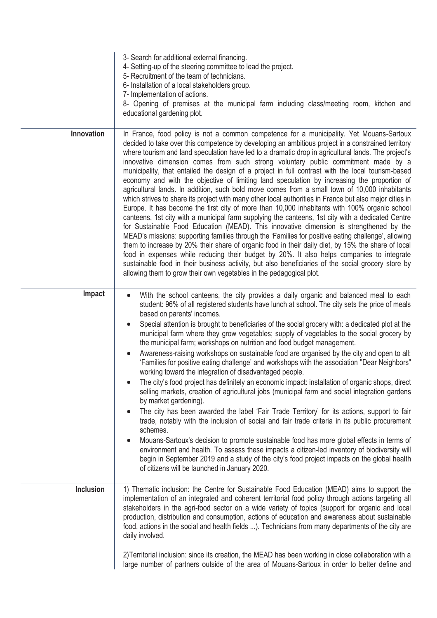|                  | 3- Search for additional external financing.<br>4- Setting-up of the steering committee to lead the project.<br>5- Recruitment of the team of technicians.<br>6- Installation of a local stakeholders group.<br>7- Implementation of actions.<br>8- Opening of premises at the municipal farm including class/meeting room, kitchen and<br>educational gardening plot.                                                                                                                                                                                                                                                                                                                                                                                                                                                                                                                                                                                                                                                                                                                                                                                                                                                                                                                                                                                                                                                                                                                                                                                                                             |
|------------------|----------------------------------------------------------------------------------------------------------------------------------------------------------------------------------------------------------------------------------------------------------------------------------------------------------------------------------------------------------------------------------------------------------------------------------------------------------------------------------------------------------------------------------------------------------------------------------------------------------------------------------------------------------------------------------------------------------------------------------------------------------------------------------------------------------------------------------------------------------------------------------------------------------------------------------------------------------------------------------------------------------------------------------------------------------------------------------------------------------------------------------------------------------------------------------------------------------------------------------------------------------------------------------------------------------------------------------------------------------------------------------------------------------------------------------------------------------------------------------------------------------------------------------------------------------------------------------------------------|
| Innovation       | In France, food policy is not a common competence for a municipality. Yet Mouans-Sartoux<br>decided to take over this competence by developing an ambitious project in a constrained territory<br>where tourism and land speculation have led to a dramatic drop in agricultural lands. The project's<br>innovative dimension comes from such strong voluntary public commitment made by a<br>municipality, that entailed the design of a project in full contrast with the local tourism-based<br>economy and with the objective of limiting land speculation by increasing the proportion of<br>agricultural lands. In addition, such bold move comes from a small town of 10,000 inhabitants<br>which strives to share its project with many other local authorities in France but also major cities in<br>Europe. It has become the first city of more than 10,000 inhabitants with 100% organic school<br>canteens, 1st city with a municipal farm supplying the canteens, 1st city with a dedicated Centre<br>for Sustainable Food Education (MEAD). This innovative dimension is strengthened by the<br>MEAD's missions: supporting families through the 'Families for positive eating challenge', allowing<br>them to increase by 20% their share of organic food in their daily diet, by 15% the share of local<br>food in expenses while reducing their budget by 20%. It also helps companies to integrate<br>sustainable food in their business activity, but also beneficiaries of the social grocery store by<br>allowing them to grow their own vegetables in the pedagogical plot. |
| Impact           | With the school canteens, the city provides a daily organic and balanced meal to each<br>$\bullet$<br>student: 96% of all registered students have lunch at school. The city sets the price of meals<br>based on parents' incomes.<br>Special attention is brought to beneficiaries of the social grocery with: a dedicated plot at the<br>municipal farm where they grow vegetables; supply of vegetables to the social grocery by<br>the municipal farm; workshops on nutrition and food budget management.<br>Awareness-raising workshops on sustainable food are organised by the city and open to all:<br>'Families for positive eating challenge' and workshops with the association "Dear Neighbors"<br>working toward the integration of disadvantaged people.<br>The city's food project has definitely an economic impact: installation of organic shops, direct<br>selling markets, creation of agricultural jobs (municipal farm and social integration gardens<br>by market gardening).<br>The city has been awarded the label 'Fair Trade Territory' for its actions, support to fair<br>trade, notably with the inclusion of social and fair trade criteria in its public procurement<br>schemes.<br>Mouans-Sartoux's decision to promote sustainable food has more global effects in terms of<br>environment and health. To assess these impacts a citizen-led inventory of biodiversity will<br>begin in September 2019 and a study of the city's food project impacts on the global health<br>of citizens will be launched in January 2020.                                      |
| <b>Inclusion</b> | 1) Thematic inclusion: the Centre for Sustainable Food Education (MEAD) aims to support the<br>implementation of an integrated and coherent territorial food policy through actions targeting all<br>stakeholders in the agri-food sector on a wide variety of topics (support for organic and local<br>production, distribution and consumption, actions of education and awareness about sustainable<br>food, actions in the social and health fields ). Technicians from many departments of the city are<br>daily involved.                                                                                                                                                                                                                                                                                                                                                                                                                                                                                                                                                                                                                                                                                                                                                                                                                                                                                                                                                                                                                                                                    |
|                  | 2) Territorial inclusion: since its creation, the MEAD has been working in close collaboration with a<br>large number of partners outside of the area of Mouans-Sartoux in order to better define and                                                                                                                                                                                                                                                                                                                                                                                                                                                                                                                                                                                                                                                                                                                                                                                                                                                                                                                                                                                                                                                                                                                                                                                                                                                                                                                                                                                              |